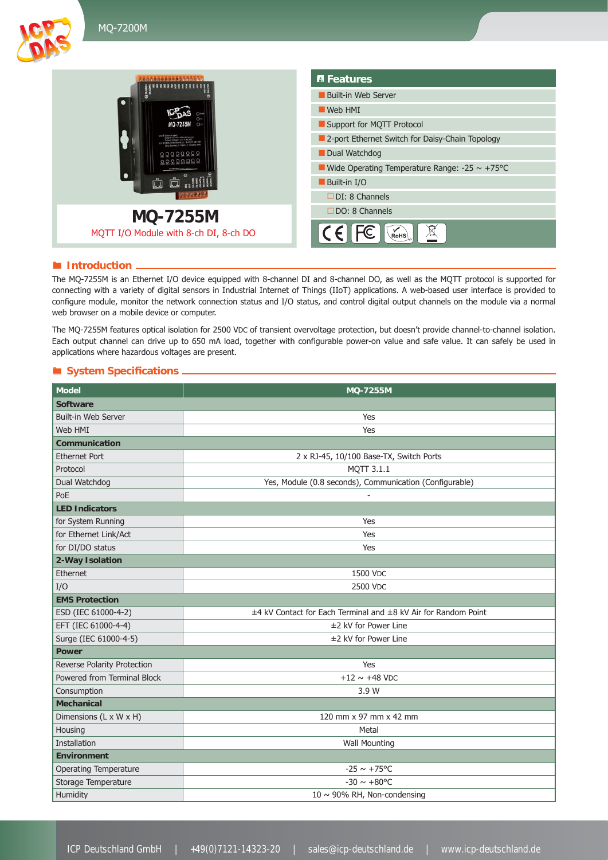



#### **Introduction** -

The MQ-7255M is an Ethernet I/O device equipped with 8-channel DI and 8-channel DO, as well as the MQTT protocol is supported for connecting with a variety of digital sensors in Industrial Internet of Things (IIoT) applications. A web-based user interface is provided to configure module, monitor the network connection status and I/O status, and control digital output channels on the module via a normal web browser on a mobile device or computer.

The MQ-7255M features optical isolation for 2500 VDC of transient overvoltage protection, but doesn't provide channel-to-channel isolation. Each output channel can drive up to 650 mA load, together with configurable power-on value and safe value. It can safely be used in applications where hazardous voltages are present.

### $\blacksquare$  System Specifications

| <b>Model</b>                 | <b>MQ-7255M</b>                                                |  |  |  |  |  |  |
|------------------------------|----------------------------------------------------------------|--|--|--|--|--|--|
| <b>Software</b>              |                                                                |  |  |  |  |  |  |
| <b>Built-in Web Server</b>   | Yes                                                            |  |  |  |  |  |  |
| Web HMI                      | Yes                                                            |  |  |  |  |  |  |
| <b>Communication</b>         |                                                                |  |  |  |  |  |  |
| <b>Ethernet Port</b>         | 2 x RJ-45, 10/100 Base-TX, Switch Ports                        |  |  |  |  |  |  |
| Protocol                     | MQTT 3.1.1                                                     |  |  |  |  |  |  |
| Dual Watchdog                | Yes, Module (0.8 seconds), Communication (Configurable)        |  |  |  |  |  |  |
| PoE                          |                                                                |  |  |  |  |  |  |
| <b>LED Indicators</b>        |                                                                |  |  |  |  |  |  |
| for System Running           | Yes                                                            |  |  |  |  |  |  |
| for Ethernet Link/Act        | Yes                                                            |  |  |  |  |  |  |
| for DI/DO status             | Yes                                                            |  |  |  |  |  |  |
| 2-Way Isolation              |                                                                |  |  |  |  |  |  |
| Ethernet                     | 1500 VDC                                                       |  |  |  |  |  |  |
| I/O                          | 2500 VDC                                                       |  |  |  |  |  |  |
| <b>EMS Protection</b>        |                                                                |  |  |  |  |  |  |
| ESD (IEC 61000-4-2)          | ±4 kV Contact for Each Terminal and ±8 kV Air for Random Point |  |  |  |  |  |  |
| EFT (IEC 61000-4-4)          | ±2 kV for Power Line                                           |  |  |  |  |  |  |
| Surge (IEC 61000-4-5)        | ±2 kV for Power Line                                           |  |  |  |  |  |  |
| <b>Power</b>                 |                                                                |  |  |  |  |  |  |
| Reverse Polarity Protection  | Yes                                                            |  |  |  |  |  |  |
| Powered from Terminal Block  | $+12 \sim +48$ VDC                                             |  |  |  |  |  |  |
| Consumption                  | 3.9 W                                                          |  |  |  |  |  |  |
| <b>Mechanical</b>            |                                                                |  |  |  |  |  |  |
| Dimensions (L x W x H)       | 120 mm x 97 mm x 42 mm                                         |  |  |  |  |  |  |
| Housing                      | Metal                                                          |  |  |  |  |  |  |
| <b>Installation</b>          | <b>Wall Mounting</b>                                           |  |  |  |  |  |  |
| <b>Environment</b>           |                                                                |  |  |  |  |  |  |
| <b>Operating Temperature</b> | $-25 \sim +75^{\circ}$ C                                       |  |  |  |  |  |  |
| Storage Temperature          | $-30 \sim +80^{\circ}$ C                                       |  |  |  |  |  |  |
| Humidity                     | 10 $\sim$ 90% RH, Non-condensing                               |  |  |  |  |  |  |